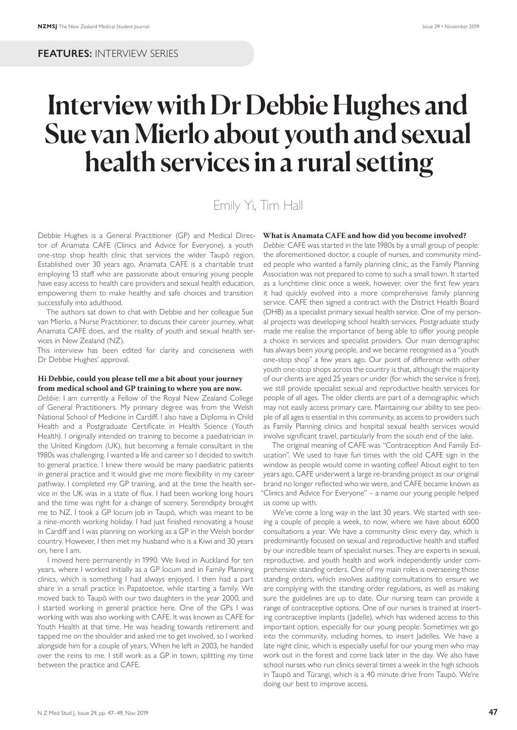# Interview with Dr Debbie Hughes and Sue van Mierlo about youth and sexual health services in a rural setting

# Emily Yi, Tim Hall

Debbie Hughes is a General Practitioner (GP) and Medical Director of Anamata CAFE (Clinics and Advice for Everyone), a youth one-stop shop health clinic that services the wider Taupō region. Established over 30 years ago, Anamata CAFE is a charitable trust employing 13 staff who are passionate about ensuring young people have easy access to health care providers and sexual health education, empowering them to make healthy and safe choices and transition successfully into adulthood.

The authors sat down to chat with Debbie and her colleague Sue van Mierlo, a Nurse Practitioner, to discuss their career journey, what Anamata CAFE does, and the reality of youth and sexual health services in New Zealand (NZ).

This interview has been edited for clarity and conciseness with Dr Debbie Hughes' approval.

# **Hi Debbie, could you please tell me a bit about your journey from medical school and GP training to where you are now.**

*Debbie:* I am currently a Fellow of the Royal New Zealand College of General Practitioners. My primary degree was from the Welsh National School of Medicine in Cardiff. I also have a Diploma in Child Health and a Postgraduate Certificate in Health Science (Youth Health). I originally intended on training to become a paediatrician in the United Kingdom (UK), but becoming a female consultant in the 1980s was challenging. I wanted a life and career so I decided to switch to general practice. I knew there would be many paediatric patients in general practice and it would give me more flexibility in my career pathway. I completed my GP training, and at the time the health service in the UK was in a state of flux. I had been working long hours and the time was right for a change of scenery. Serendipity brought me to NZ. I took a GP locum job in Taupō, which was meant to be a nine-month working holiday. I had just finished renovating a house in Cardiff and I was planning on working as a GP in the Welsh border country. However, I then met my husband who is a Kiwi and 30 years on, here I am.

I moved here permanently in 1990. We lived in Auckland for ten years, where I worked initially as a GP locum and in Family Planning clinics, which is something I had always enjoyed. I then had a part share in a small practice in Papatoetoe, while starting a family. We moved back to Taupō with our two daughters in the year 2000, and I started working in general practice here. One of the GPs I was working with was also working with CAFE. It was known as CAFE for Youth Health at that time. He was heading towards retirement and tapped me on the shoulder and asked me to get involved, so I worked alongside him for a couple of years. When he left in 2003, he handed over the reins to me. I still work as a GP in town, splitting my time between the practice and CAFE.

# **What is Anamata CAFE and how did you become involved?**

*Debbie:* CAFE was started in the late 1980s by a small group of people: the aforementioned doctor, a couple of nurses, and community minded people who wanted a family planning clinic, as the Family Planning Association was not prepared to come to such a small town. It started as a lunchtime clinic once a week, however, over the first few years it had quickly evolved into a more comprehensive family planning service. CAFE then signed a contract with the District Health Board (DHB) as a specialist primary sexual health service. One of my personal projects was developing school health services. Postgraduate study made me realise the importance of being able to offer young people a choice in services and specialist providers. Our main demographic has always been young people, and we became recognised as a "youth one-stop shop" a few years ago. Our point of difference with other youth one-stop shops across the country is that, although the majority of our clients are aged 25 years or under (for which the service is free), we still provide specialist sexual and reproductive health services for people of all ages. The older clients are part of a demographic which may not easily access primary care. Maintaining our ability to see people of all ages is essential in this community, as access to providers such as Family Planning clinics and hospital sexual health services would involve significant travel, particularly from the south end of the lake.

The original meaning of CAFE was "Contraception And Family Education". We used to have fun times with the old CAFE sign in the window as people would come in wanting coffee! About eight to ten years ago, CAFE underwent a large re-branding project as our original brand no longer reflected who we were, and CAFE became known as "Clinics and Advice For Everyone" – a name our young people helped us come up with.

We've come a long way in the last 30 years. We started with seeing a couple of people a week, to now, where we have about 6000 consultations a year. We have a community clinic every day, which is predominantly focused on sexual and reproductive health and staffed by our incredible team of specialist nurses. They are experts in sexual, reproductive, and youth health and work independently under comprehensive standing orders. One of my main roles is overseeing those standing orders, which involves auditing consultations to ensure we are complying with the standing order regulations, as well as making sure the guidelines are up to date. Our nursing team can provide a range of contraceptive options. One of our nurses is trained at inserting contraceptive implants (Jadelle), which has widened access to this important option, especially for our young people. Sometimes we go into the community, including homes, to insert Jadelles. We have a late night clinic, which is especially useful for our young men who may work out in the forest and come back later in the day. We also have school nurses who run clinics several times a week in the high schools in Taupō and Tūrangi, which is a 40 minute drive from Taupō. We're doing our best to improve access.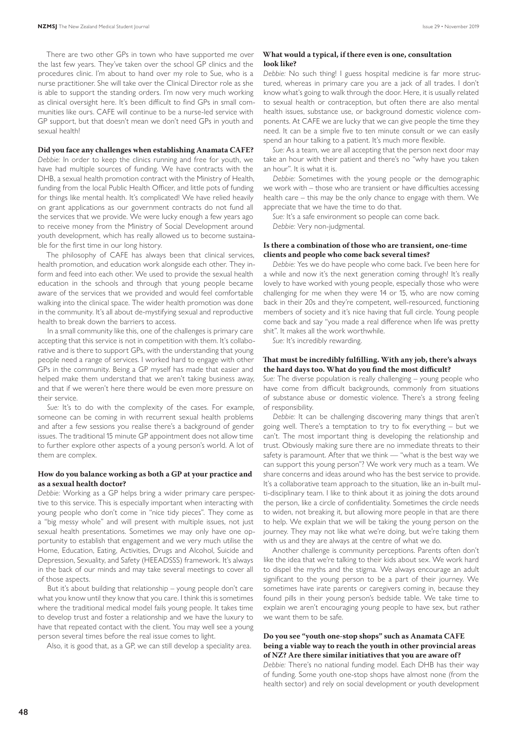There are two other GPs in town who have supported me over the last few years. They've taken over the school GP clinics and the procedures clinic. I'm about to hand over my role to Sue, who is a nurse practitioner. She will take over the Clinical Director role as she is able to support the standing orders. I'm now very much working as clinical oversight here. It's been difficult to find GPs in small communities like ours. CAFE will continue to be a nurse-led service with GP support, but that doesn't mean we don't need GPs in youth and sexual health!

#### **Did you face any challenges when establishing Anamata CAFE?**

*Debbie:* In order to keep the clinics running and free for youth, we have had multiple sources of funding. We have contracts with the DHB, a sexual health promotion contract with the Ministry of Health, funding from the local Public Health Officer, and little pots of funding for things like mental health. It's complicated! We have relied heavily on grant applications as our government contracts do not fund all the services that we provide. We were lucky enough a few years ago to receive money from the Ministry of Social Development around youth development, which has really allowed us to become sustainable for the first time in our long history.

The philosophy of CAFE has always been that clinical services, health promotion, and education work alongside each other. They inform and feed into each other. We used to provide the sexual health education in the schools and through that young people became aware of the services that we provided and would feel comfortable walking into the clinical space. The wider health promotion was done in the community. It's all about de-mystifying sexual and reproductive health to break down the barriers to access.

In a small community like this, one of the challenges is primary care accepting that this service is not in competition with them. It's collaborative and is there to support GPs, with the understanding that young people need a range of services. I worked hard to engage with other GPs in the community. Being a GP myself has made that easier and helped make them understand that we aren't taking business away, and that if we weren't here there would be even more pressure on their service.

*Sue:* It's to do with the complexity of the cases. For example, someone can be coming in with recurrent sexual health problems and after a few sessions you realise there's a background of gender issues. The traditional 15 minute GP appointment does not allow time to further explore other aspects of a young person's world. A lot of them are complex.

# **How do you balance working as both a GP at your practice and as a sexual health doctor?**

*Debbie:* Working as a GP helps bring a wider primary care perspective to this service. This is especially important when interacting with young people who don't come in "nice tidy pieces". They come as a "big messy whole" and will present with multiple issues, not just sexual health presentations. Sometimes we may only have one opportunity to establish that engagement and we very much utilise the Home, Education, Eating, Activities, Drugs and Alcohol, Suicide and Depression, Sexuality, and Safety (HEEADSSS) framework. It's always in the back of our minds and may take several meetings to cover all of those aspects.

But it's about building that relationship – young people don't care what you know until they know that you care. I think this is sometimes where the traditional medical model fails young people. It takes time to develop trust and foster a relationship and we have the luxury to have that repeated contact with the client. You may well see a young person several times before the real issue comes to light.

Also, it is good that, as a GP, we can still develop a speciality area.

# **What would a typical, if there even is one, consultation look like?**

*Debbie:* No such thing! I guess hospital medicine is far more structured, whereas in primary care you are a jack of all trades. I don't know what's going to walk through the door. Here, it is usually related to sexual health or contraception, but often there are also mental health issues, substance use, or background domestic violence components. At CAFE we are lucky that we can give people the time they need. It can be a simple five to ten minute consult or we can easily spend an hour talking to a patient. It's much more flexible.

*Sue:* As a team, we are all accepting that the person next door may take an hour with their patient and there's no "why have you taken an hour". It is what it is.

*Debbie:* Sometimes with the young people or the demographic we work with – those who are transient or have difficulties accessing health care – this may be the only chance to engage with them. We appreciate that we have the time to do that.

*Sue:* It's a safe environment so people can come back. *Debbie:* Very non-judgmental.

# **Is there a combination of those who are transient, one-time clients and people who come back several times?**

*Debbie:* Yes we do have people who come back. I've been here for a while and now it's the next generation coming through! It's really lovely to have worked with young people, especially those who were challenging for me when they were 14 or 15, who are now coming back in their 20s and they're competent, well-resourced, functioning members of society and it's nice having that full circle. Young people come back and say "you made a real difference when life was pretty shit". It makes all the work worthwhile.

*Sue:* It's incredibly rewarding.

# **That must be incredibly fulfilling. With any job, there's always the hard days too. What do you find the most difficult?**

*Sue:* The diverse population is really challenging – young people who have come from difficult backgrounds, commonly from situations of substance abuse or domestic violence. There's a strong feeling of responsibility.

*Debbie:* It can be challenging discovering many things that aren't going well. There's a temptation to try to fix everything – but we can't. The most important thing is developing the relationship and trust. Obviously making sure there are no immediate threats to their safety is paramount. After that we think — "what is the best way we can support this young person"? We work very much as a team. We share concerns and ideas around who has the best service to provide. It's a collaborative team approach to the situation, like an in-built multi-disciplinary team. I like to think about it as joining the dots around the person, like a circle of confidentiality. Sometimes the circle needs to widen, not breaking it, but allowing more people in that are there to help. We explain that we will be taking the young person on the journey. They may not like what we're doing, but we're taking them with us and they are always at the centre of what we do.

Another challenge is community perceptions. Parents often don't like the idea that we're talking to their kids about sex. We work hard to dispel the myths and the stigma. We always encourage an adult significant to the young person to be a part of their journey. We sometimes have irate parents or caregivers coming in, because they found pills in their young person's bedside table. We take time to explain we aren't encouraging young people to have sex, but rather we want them to be safe.

# **Do you see "youth one-stop shops" such as Anamata CAFE being a viable way to reach the youth in other provincial areas of NZ? Are there similar initiatives that you are aware of?**

*Debbie:* There's no national funding model. Each DHB has their way of funding. Some youth one-stop shops have almost none (from the health sector) and rely on social development or youth development